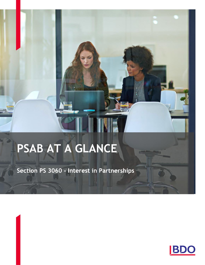# PSAB AT A GLANCE

Section PS 3060 - Interest in Partnerships

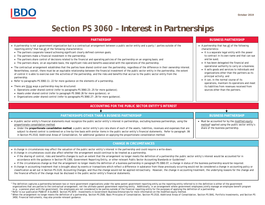## **Section PS 3060 –** *Interest in Partnerships*

- · A partnership is not a government organization but is a contractual arrangement between a public sector entity and a party / parties outside of the reporting entity<sup>1</sup> that has all of the following characteristics:
	- · The partners cooperate toward achieving significant clearly defined common goals;
	- · The partners make a financial investment in the partnership;
- · The partners share control of decisions related to the financial and operating policies of the partnership on an ongoing basis; and
- · The partners share, on an equitable basis, the significant risks and benefits associated with the operations of the partnership.
- · The contractual arrangement establishes that the parties have shared control over the partnership, regardless of the difference in their ownership interest. Nevertheless, overall, there must be an equitable relationship between the financial investment of the public sector entity in the partnership, the extent of control it is able to exercise over the activities of the partnership, and the risks and benefits that accrue to the public sector entity from the partnership.
- · Refer to paragraphs PS 3060.11-.22 for more guidance on the elements of a partnership.
- There are three ways a partnership may be structured:
- · Operations under shared control (refer to paragraphs PS 3060.23-.25 for more guidance);
- · Assets under shared control (refer to paragraph PS 3060.26 for more guidance); or
- · Organizations under shared control (refer to paragraphs PS 3060.27-.28 for more guidance).

### **ACCOUNTING FOR THE PUBLIC SECTOR ENTITY'S INTEREST**

#### **PARTNERSHIPS OTHER THAN A BUSINESS PARTNERSHIP**

- · A public sector entity's financial statements must recognize the public sector entity's interest in partnerships, excluding business partnerships, using the proportionate consolidation method.
	- · Under the **proportionate consolidation method**, a public sector entity's pro rata share of each of the assets, liabilities, revenues and expenses that are subject to shared control is combined on a line-by-line basis with similar items in the public sector entity's financial statements. Refer to paragraph .06 in Section PS 2510, *Additional Areas of Consolidation*, for additional guidance on applying the proportionate consolidation method.

#### **BUSINESS PARTNERSHIP**

· Must be accounted for by the modified equity method<sup>2</sup> applied using the public sector entity's share of the business partnership.

### **CHANGE IN CIRCUMSTANCES**

- · A change in circumstances may affect the valuation of the public sector entity's interest in the partnership and could require a write-down.
- · A change in circumstances could also affect whether the arrangement would continue to be treated as a partnership.
- · If the sharing of control, risks and benefits changes to such an extent that the arrangement no longer meets the definition of a partnership the public sector entity's interest would be accounted for in accordance with the guidance in Section PS 1300, *Government Reporting Entity*, or other relevant Public Sector Accounting Standards or Guidelines<sup>3</sup> .
- · If the circumstances change so that the arrangement no longer meets the definition of a business partnership in paragraph PS 3060.07, a change in status of the business partnership would be required.
- · A change in accounting treatment that is brought about by events or transactions which reflect a difference in substance from those previously occurring would not be considered a change in accounting policy or classification as set out in Section PS 2120, *Accounting Changes*, and thus the change would not be applied retroactively. However, the change in accounting treatment, the underlying reasons for the change and the financial effects of the change must be disclosed in the public sector entity's financial statements.

<sup>1</sup> The definition captures a partnership between two or more government organizations under the same parent government reporting entity as the reporting entity referred to in the definition is either of the government organizations that are parties to the contractual arrangement, not the ultimate parent government reporting entity. Additionally, in an arrangement where government employees jointly manage an employee benefit program (e.g., a pension plan) with the government, the employees are not considered to be parties outside of the financial reporting entity for the purposes of applying the definition of a partnership.

2 Refer to our publication PSAB AT A GLANCE: Section PS 3070 – *Investments in Government Business Enterprises* for more information on the modified equity method.

<sup>3</sup> When the arrangement no longer meets the definition of a partnership, Section PS 2500, Basic Principles of Consolidation, Section PS 2510, Additional Areas of Consolidation, Section PS 3041, Portfolio Investments, and

#### 3450, *Financial Instruments,* may also provide relevant guidance.

#### **PARTNERSHIP BUSINESS PARTNERSHIP**

- · A partnership that has all of the following characteristics:
	- · It is a separate legal entity with the power to contract in its own name and that can sue and be sued;
	- · It has been delegated the financial and operational authority to carry on a business;
	- · It sells goods and services to individuals and organizations other than the partners as its principal activity; and
	- · It can, in the normal course of its operations, maintain its operations and meet its liabilities from revenues received from sources other than the partners.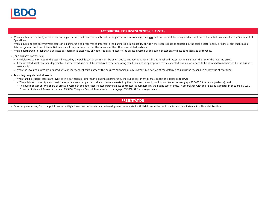

#### **ACCOUNTING FOR INVESTMENTS OF ASSETS**

- When a public sector entity invests assets in a partnership and receives an interest in the partnership in exchange, any loss that occurs must be recognized at the time of the initial investment in the Statement of Operations.
- When a public sector entity invests assets in a partnership and receives an interest in the partnership in exchange, any gain that occurs must be reported in the public sector entity's financial statements as a deferred gain at the time of the initial investment only to the extent of the interest of the other non-related partners.
- · When a partnership, other than a business partnership, is dissolved, any deferred gain related to the assets invested by the public sector entity must be recognized as revenue.
- · For a business partnership:
	- · Any deferred gain related to the assets invested by the public sector entity must be amortized to net operating results in a rational and systematic manner over the life of the invested assets.
	- · If the invested assets are non-depreciable, the deferred gain must be amortized to net operating results on a basis appropriate to the expected revenue or service to be obtained from their use by the business partnership.
	- · When the invested assets are disposed of to an independent third party by the business partnership, any unamortized portion of the deferred gain must be recognized as revenue at that time.
- · **Reporting tangible capital assets**
	- · When tangible capital assets are invested in a partnership, other than a business partnership, the public sector entity must report the assets as follows:
	- The public sector entity must treat the other non-related partners' share of assets invested by the public sector entity as disposals (refer to paragraph PS 3060.53 for more quidance); and
	- · The public sector entity's share of assets invested by the other non-related partners must be treated as purchases by the public sector entity in accordance with the relevant standards in Sections PS 1201, *Financial Statement Presentation,* and PS 3150, *Tangible Capital Assets* (refer to paragraph PS 3060.54 for more guidance)*.*

#### **PRESENTATION**

· Deferred gains arising from the public sector entity's investment of assets in a partnership must be reported with liabilities in the public sector entity's Statement of Financial Position.